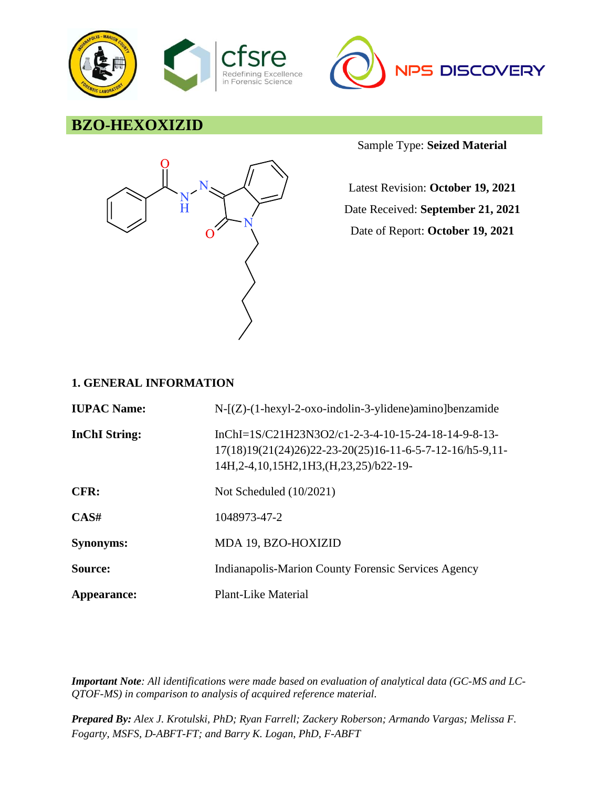



# **BZO-HEXOXIZID**



Sample Type: **Seized Material**

Latest Revision: **October 19, 2021** Date Received: **September 21, 2021** Date of Report: **October 19, 2021**

### **1. GENERAL INFORMATION**

| <b>IUPAC Name:</b>   | $N-[Z)-(1-hexyl-2-oxo-indolin-3-ylidene)$ amino]benzamide                                                                                                             |
|----------------------|-----------------------------------------------------------------------------------------------------------------------------------------------------------------------|
| <b>InChI</b> String: | InChI=1S/C21H23N3O2/c1-2-3-4-10-15-24-18-14-9-8-13-<br>$17(18)19(21(24)26)22-23-20(25)16-11-6-5-7-12-16/h5-9,11-$<br>14H, 2-4, 10, 15H 2, 1H 3, (H, 23, 25) / b22-19- |
| CFR:                 | Not Scheduled $(10/2021)$                                                                                                                                             |
| CAS#                 | 1048973-47-2                                                                                                                                                          |
| <b>Synonyms:</b>     | MDA 19, BZO-HOXIZID                                                                                                                                                   |
| Source:              | Indianapolis-Marion County Forensic Services Agency                                                                                                                   |
| Appearance:          | Plant-Like Material                                                                                                                                                   |

*Important Note: All identifications were made based on evaluation of analytical data (GC-MS and LC-QTOF-MS) in comparison to analysis of acquired reference material.*

*Prepared By: Alex J. Krotulski, PhD; Ryan Farrell; Zackery Roberson; Armando Vargas; Melissa F. Fogarty, MSFS, D-ABFT-FT; and Barry K. Logan, PhD, F-ABFT*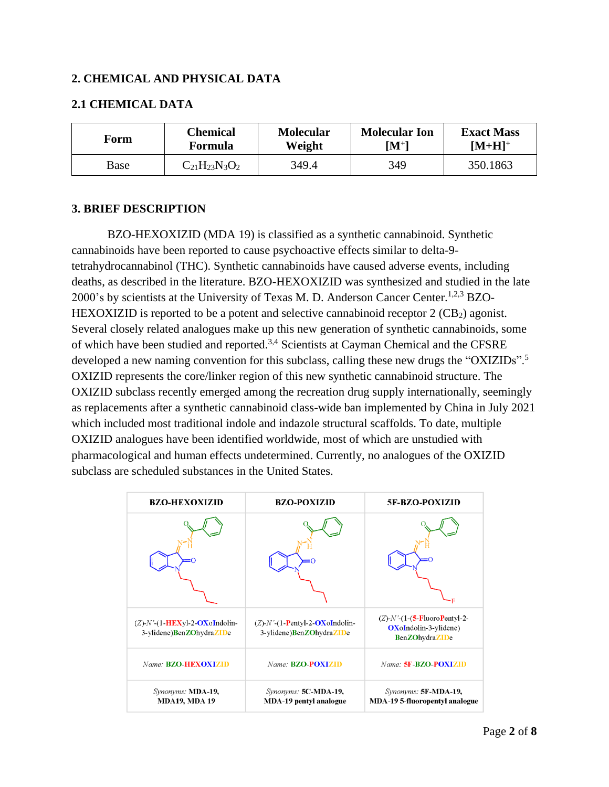### **2. CHEMICAL AND PHYSICAL DATA**

### **2.1 CHEMICAL DATA**

| Form | Chemical             | <b>Molecular</b> | <b>Molecular Ion</b> | <b>Exact Mass</b> |
|------|----------------------|------------------|----------------------|-------------------|
|      | <b>Formula</b>       | Weight           | $\mathbf{[M^{+}]}$   | $[M+H]^+$         |
| Base | $C_{21}H_{23}N_3O_2$ | 349.4            | 349                  | 350.1863          |

#### **3. BRIEF DESCRIPTION**

BZO-HEXOXIZID (MDA 19) is classified as a synthetic cannabinoid. Synthetic cannabinoids have been reported to cause psychoactive effects similar to delta-9 tetrahydrocannabinol (THC). Synthetic cannabinoids have caused adverse events, including deaths, as described in the literature. BZO-HEXOXIZID was synthesized and studied in the late 2000's by scientists at the University of Texas M. D. Anderson Cancer Center.<sup>1,2,3</sup> BZO-HEXOXIZID is reported to be a potent and selective cannabinoid receptor  $2$  (CB<sub>2</sub>) agonist. Several closely related analogues make up this new generation of synthetic cannabinoids, some of which have been studied and reported.3,4 Scientists at Cayman Chemical and the CFSRE developed a new naming convention for this subclass, calling these new drugs the "OXIZIDs".<sup>5</sup> OXIZID represents the core/linker region of this new synthetic cannabinoid structure. The OXIZID subclass recently emerged among the recreation drug supply internationally, seemingly as replacements after a synthetic cannabinoid class-wide ban implemented by China in July 2021 which included most traditional indole and indazole structural scaffolds. To date, multiple OXIZID analogues have been identified worldwide, most of which are unstudied with pharmacological and human effects undetermined. Currently, no analogues of the OXIZID subclass are scheduled substances in the United States.

| <b>BZO-HEXOXIZID</b>                                             | <b>BZO-POXIZID</b>                                                | <b>5F-BZO-POXIZID</b>                                                                         |
|------------------------------------------------------------------|-------------------------------------------------------------------|-----------------------------------------------------------------------------------------------|
|                                                                  |                                                                   |                                                                                               |
| $(Z)$ -N'- $(1$ -HEXyl-2-OXoIndolin-<br>3-ylidene)BenZOhydraZIDe | $(Z)$ -N'- $(1-$ Pentyl-2-OXoIndolin-<br>3-ylidene)BenZOhydraZIDe | $(Z)$ - $N'$ - $(1$ - $(5$ -FluoroPentyl-2-<br>OXoIndolin-3-ylidene)<br><b>BenZOhydraZIDe</b> |
| Name: <b>BZO-HEXOXIZID</b>                                       | Name: <b>BZO-POXIZID</b>                                          | Name: 5F-BZO-POXIZID                                                                          |
| Synonyms: MDA-19,<br><b>MDA19, MDA19</b>                         | Synonyms: 5C-MDA-19,<br><b>MDA-19 pentyl analogue</b>             | Synonyms: 5F-MDA-19,<br><b>MDA-19 5-fluoropentyl analogue</b>                                 |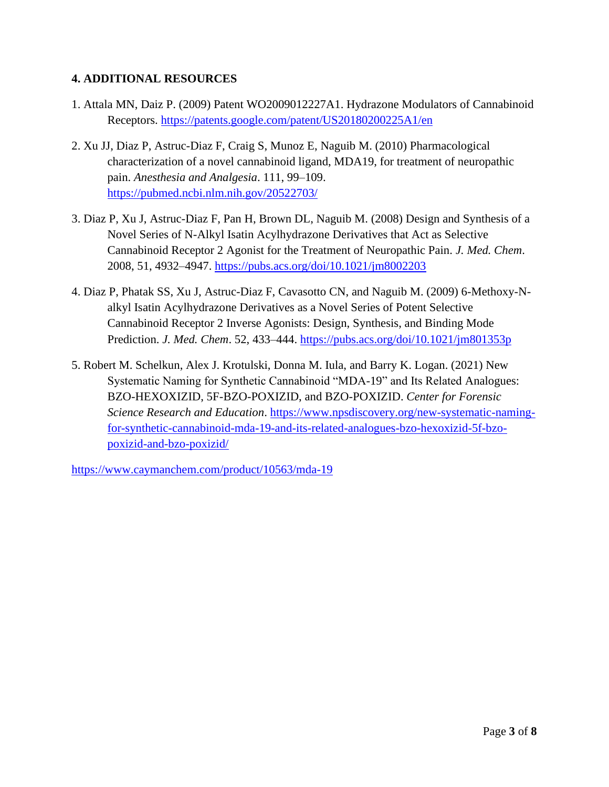# **4. ADDITIONAL RESOURCES**

- 1. Attala MN, Daiz P. (2009) Patent WO2009012227A1. Hydrazone Modulators of Cannabinoid Receptors.<https://patents.google.com/patent/US20180200225A1/en>
- 2. Xu JJ, Diaz P, Astruc-Diaz F, Craig S, Munoz E, Naguib M. (2010) Pharmacological characterization of a novel cannabinoid ligand, MDA19, for treatment of neuropathic pain. *Anesthesia and Analgesia*. 111, 99–109. <https://pubmed.ncbi.nlm.nih.gov/20522703/>
- 3. Diaz P, Xu J, Astruc-Diaz F, Pan H, Brown DL, Naguib M. (2008) Design and Synthesis of a Novel Series of N-Alkyl Isatin Acylhydrazone Derivatives that Act as Selective Cannabinoid Receptor 2 Agonist for the Treatment of Neuropathic Pain. *J. Med. Chem*. 2008, 51, 4932–4947.<https://pubs.acs.org/doi/10.1021/jm8002203>
- 4. Diaz P, Phatak SS, Xu J, Astruc-Diaz F, Cavasotto CN, and Naguib M. (2009) 6-Methoxy-Nalkyl Isatin Acylhydrazone Derivatives as a Novel Series of Potent Selective Cannabinoid Receptor 2 Inverse Agonists: Design, Synthesis, and Binding Mode Prediction. *J. Med. Chem*. 52, 433–444.<https://pubs.acs.org/doi/10.1021/jm801353p>
- 5. Robert M. Schelkun, Alex J. Krotulski, Donna M. Iula, and Barry K. Logan. (2021) New Systematic Naming for Synthetic Cannabinoid "MDA-19" and Its Related Analogues: BZO-HEXOXIZID, 5F-BZO-POXIZID, and BZO-POXIZID. *Center for Forensic Science Research and Education*. [https://www.npsdiscovery.org/new-systematic-naming](https://www.npsdiscovery.org/new-systematic-naming-for-synthetic-cannabinoid-mda-19-and-its-related-analogues-bzo-hexoxizid-5f-bzo-poxizid-and-bzo-poxizid/)[for-synthetic-cannabinoid-mda-19-and-its-related-analogues-bzo-hexoxizid-5f-bzo](https://www.npsdiscovery.org/new-systematic-naming-for-synthetic-cannabinoid-mda-19-and-its-related-analogues-bzo-hexoxizid-5f-bzo-poxizid-and-bzo-poxizid/)[poxizid-and-bzo-poxizid/](https://www.npsdiscovery.org/new-systematic-naming-for-synthetic-cannabinoid-mda-19-and-its-related-analogues-bzo-hexoxizid-5f-bzo-poxizid-and-bzo-poxizid/)

<https://www.caymanchem.com/product/10563/mda-19>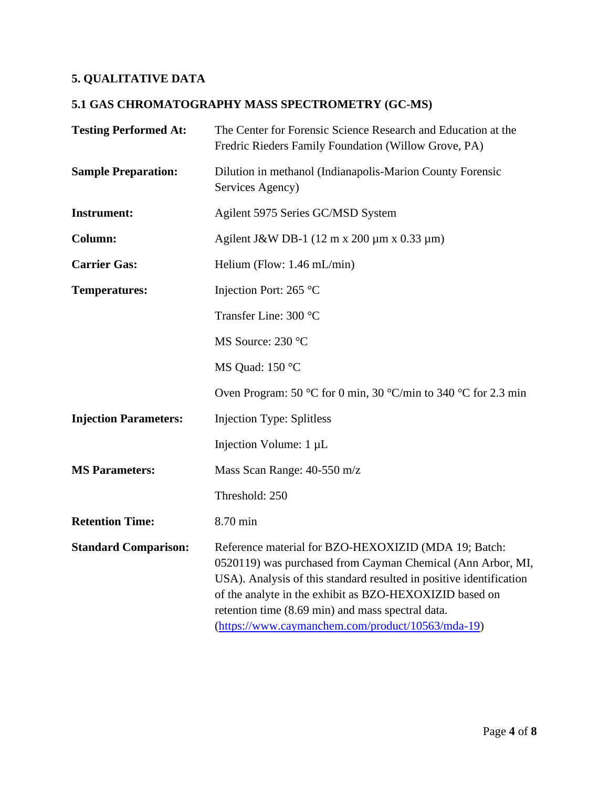# **5. QUALITATIVE DATA**

# **5.1 GAS CHROMATOGRAPHY MASS SPECTROMETRY (GC-MS)**

| <b>Testing Performed At:</b> | The Center for Forensic Science Research and Education at the<br>Fredric Rieders Family Foundation (Willow Grove, PA)                                                                                                                                                                                                                                           |
|------------------------------|-----------------------------------------------------------------------------------------------------------------------------------------------------------------------------------------------------------------------------------------------------------------------------------------------------------------------------------------------------------------|
| <b>Sample Preparation:</b>   | Dilution in methanol (Indianapolis-Marion County Forensic<br>Services Agency)                                                                                                                                                                                                                                                                                   |
| <b>Instrument:</b>           | Agilent 5975 Series GC/MSD System                                                                                                                                                                                                                                                                                                                               |
| Column:                      | Agilent J&W DB-1 $(12 \text{ m x } 200 \text{ µm x } 0.33 \text{ µm})$                                                                                                                                                                                                                                                                                          |
| <b>Carrier Gas:</b>          | Helium (Flow: $1.46$ mL/min)                                                                                                                                                                                                                                                                                                                                    |
| <b>Temperatures:</b>         | Injection Port: 265 °C                                                                                                                                                                                                                                                                                                                                          |
|                              | Transfer Line: 300 °C                                                                                                                                                                                                                                                                                                                                           |
|                              | MS Source: 230 °C                                                                                                                                                                                                                                                                                                                                               |
|                              | MS Quad: 150 °C                                                                                                                                                                                                                                                                                                                                                 |
|                              | Oven Program: 50 °C for 0 min, 30 °C/min to 340 °C for 2.3 min                                                                                                                                                                                                                                                                                                  |
| <b>Injection Parameters:</b> | <b>Injection Type: Splitless</b>                                                                                                                                                                                                                                                                                                                                |
|                              | Injection Volume: 1 µL                                                                                                                                                                                                                                                                                                                                          |
| <b>MS Parameters:</b>        | Mass Scan Range: 40-550 m/z                                                                                                                                                                                                                                                                                                                                     |
|                              | Threshold: 250                                                                                                                                                                                                                                                                                                                                                  |
| <b>Retention Time:</b>       | 8.70 min                                                                                                                                                                                                                                                                                                                                                        |
| <b>Standard Comparison:</b>  | Reference material for BZO-HEXOXIZID (MDA 19; Batch:<br>0520119) was purchased from Cayman Chemical (Ann Arbor, MI,<br>USA). Analysis of this standard resulted in positive identification<br>of the analyte in the exhibit as BZO-HEXOXIZID based on<br>retention time (8.69 min) and mass spectral data.<br>(https://www.caymanchem.com/product/10563/mda-19) |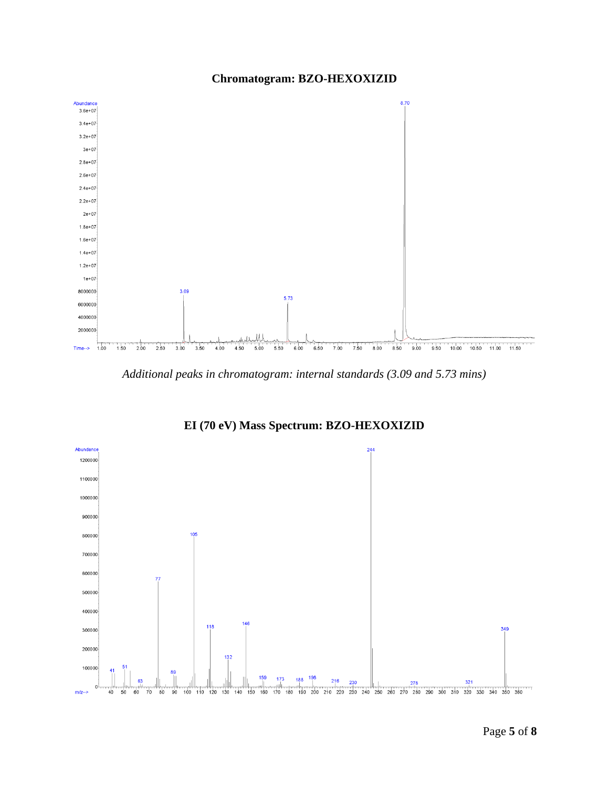



*Additional peaks in chromatogram: internal standards (3.09 and 5.73 mins)*



**EI (70 eV) Mass Spectrum: BZO-HEXOXIZID**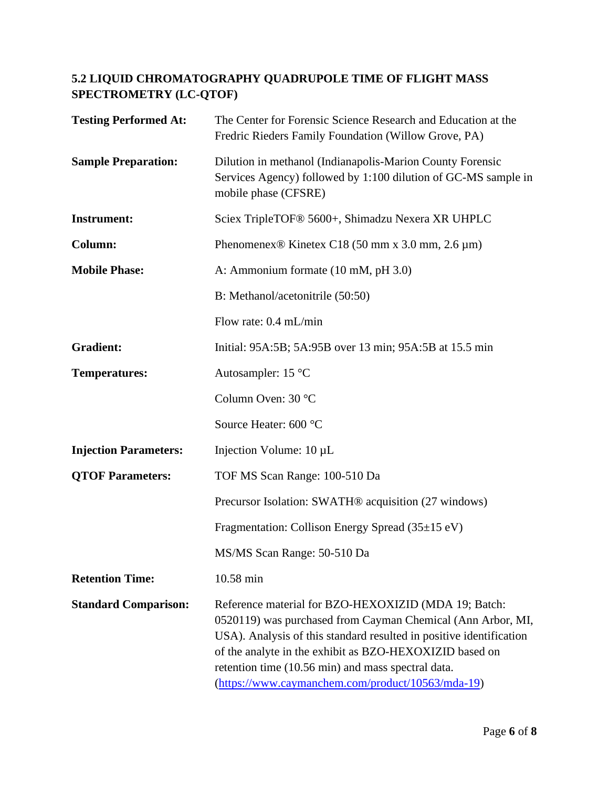# **5.2 LIQUID CHROMATOGRAPHY QUADRUPOLE TIME OF FLIGHT MASS SPECTROMETRY (LC-QTOF)**

| <b>Testing Performed At:</b> | The Center for Forensic Science Research and Education at the<br>Fredric Rieders Family Foundation (Willow Grove, PA)                                                                                                                                                                                                                                            |
|------------------------------|------------------------------------------------------------------------------------------------------------------------------------------------------------------------------------------------------------------------------------------------------------------------------------------------------------------------------------------------------------------|
| <b>Sample Preparation:</b>   | Dilution in methanol (Indianapolis-Marion County Forensic<br>Services Agency) followed by 1:100 dilution of GC-MS sample in<br>mobile phase (CFSRE)                                                                                                                                                                                                              |
| <b>Instrument:</b>           | Sciex TripleTOF <sup>®</sup> 5600+, Shimadzu Nexera XR UHPLC                                                                                                                                                                                                                                                                                                     |
| Column:                      | Phenomenex <sup>®</sup> Kinetex C18 (50 mm x 3.0 mm, 2.6 $\mu$ m)                                                                                                                                                                                                                                                                                                |
| <b>Mobile Phase:</b>         | A: Ammonium formate (10 mM, pH 3.0)                                                                                                                                                                                                                                                                                                                              |
|                              | B: Methanol/acetonitrile (50:50)                                                                                                                                                                                                                                                                                                                                 |
|                              | Flow rate: $0.4$ mL/min                                                                                                                                                                                                                                                                                                                                          |
| <b>Gradient:</b>             | Initial: 95A:5B; 5A:95B over 13 min; 95A:5B at 15.5 min                                                                                                                                                                                                                                                                                                          |
| <b>Temperatures:</b>         | Autosampler: 15 °C                                                                                                                                                                                                                                                                                                                                               |
|                              | Column Oven: 30 °C                                                                                                                                                                                                                                                                                                                                               |
|                              | Source Heater: 600 °C                                                                                                                                                                                                                                                                                                                                            |
| <b>Injection Parameters:</b> | Injection Volume: $10 \mu L$                                                                                                                                                                                                                                                                                                                                     |
| <b>QTOF Parameters:</b>      | TOF MS Scan Range: 100-510 Da                                                                                                                                                                                                                                                                                                                                    |
|                              | Precursor Isolation: SWATH® acquisition (27 windows)                                                                                                                                                                                                                                                                                                             |
|                              | Fragmentation: Collison Energy Spread (35±15 eV)                                                                                                                                                                                                                                                                                                                 |
|                              | MS/MS Scan Range: 50-510 Da                                                                                                                                                                                                                                                                                                                                      |
| <b>Retention Time:</b>       | 10.58 min                                                                                                                                                                                                                                                                                                                                                        |
| <b>Standard Comparison:</b>  | Reference material for BZO-HEXOXIZID (MDA 19; Batch:<br>0520119) was purchased from Cayman Chemical (Ann Arbor, MI,<br>USA). Analysis of this standard resulted in positive identification<br>of the analyte in the exhibit as BZO-HEXOXIZID based on<br>retention time (10.56 min) and mass spectral data.<br>(https://www.caymanchem.com/product/10563/mda-19) |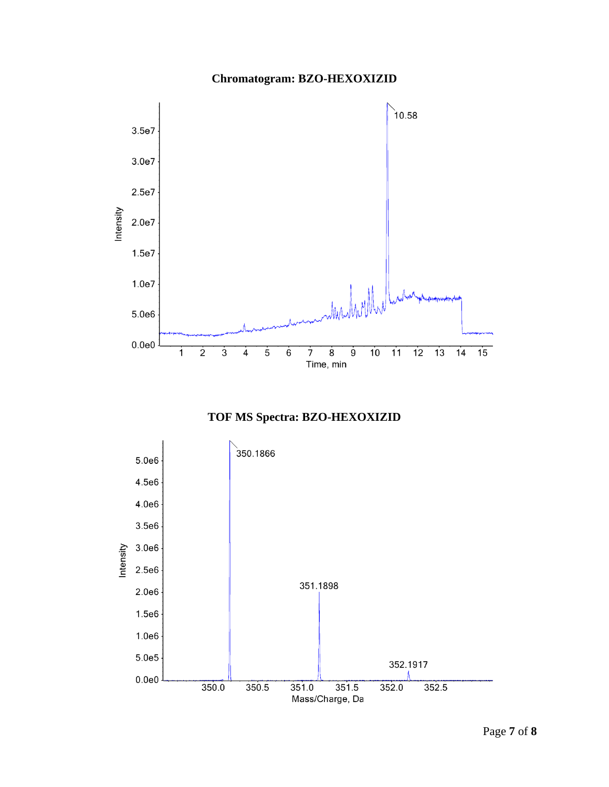# **Chromatogram: BZO-HEXOXIZID**